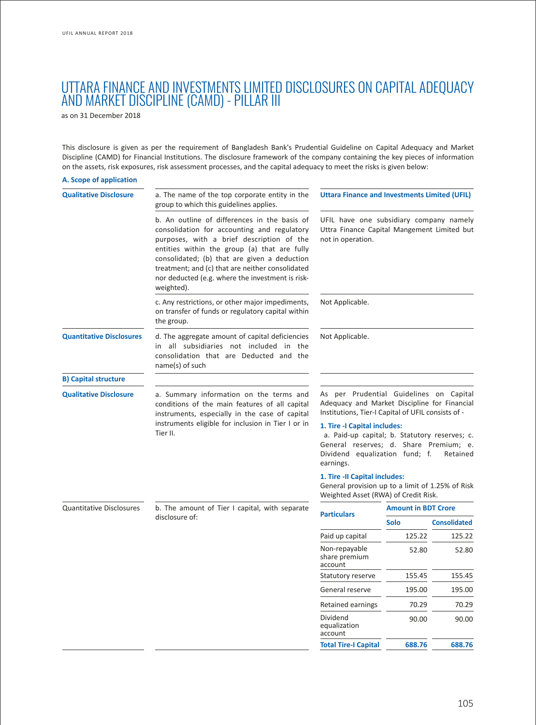# UTTARA FINANCE AND INVESTMENTS LIMITED DISCLOSURES ON CAPITAL ADEQUACY AND MARKET DISCIPLINE (CAMD) - PILLAR III

as on 31 December 2018

This disclosure is given as per the requirement of Bangladesh Bank's Prudential Guideline on Capital Adequacy and Market Discipline (CAMD) for Financial Institutions. The disclosure framework of the company containing the key pieces of information on the assets, risk exposures, risk assessment processes, and the capital adequacy to meet the risks is given below:

| A. Scope of application         |                                                                                                                                                                                                                                                                                                                                                                |                                                                                                                                                                                    |                            |                     |  |
|---------------------------------|----------------------------------------------------------------------------------------------------------------------------------------------------------------------------------------------------------------------------------------------------------------------------------------------------------------------------------------------------------------|------------------------------------------------------------------------------------------------------------------------------------------------------------------------------------|----------------------------|---------------------|--|
| <b>Qualitative Disclosure</b>   | a. The name of the top corporate entity in the<br>group to which this guidelines applies.                                                                                                                                                                                                                                                                      | <b>Uttara Finance and Investments Limited (UFIL)</b>                                                                                                                               |                            |                     |  |
|                                 | b. An outline of differences in the basis of<br>consolidation for accounting and regulatory<br>purposes, with a brief description of the<br>entities within the group (a) that are fully<br>consolidated; (b) that are given a deduction<br>treatment; and (c) that are neither consolidated<br>nor deducted (e.g. where the investment is risk-<br>weighted). | UFIL have one subsidiary company namely<br>Uttra Finance Capital Mangement Limited but<br>not in operation.                                                                        |                            |                     |  |
|                                 | c. Any restrictions, or other major impediments,<br>on transfer of funds or regulatory capital within<br>the group.                                                                                                                                                                                                                                            | Not Applicable.                                                                                                                                                                    |                            |                     |  |
| <b>Quantitative Disclosures</b> | d. The aggregate amount of capital deficiencies<br>in all subsidiaries not included in the<br>consolidation that are Deducted and the<br>name(s) of such                                                                                                                                                                                                       | Not Applicable.                                                                                                                                                                    |                            |                     |  |
| <b>B) Capital structure</b>     |                                                                                                                                                                                                                                                                                                                                                                |                                                                                                                                                                                    |                            |                     |  |
| <b>Qualitative Disclosure</b>   | a. Summary information on the terms and<br>conditions of the main features of all capital<br>instruments, especially in the case of capital                                                                                                                                                                                                                    | As per Prudential Guidelines on Capital<br>Adequacy and Market Discipline for Financial<br>Institutions, Tier-I Capital of UFIL consists of -                                      |                            |                     |  |
|                                 | instruments eligible for inclusion in Tier I or in<br>Tier II.                                                                                                                                                                                                                                                                                                 | 1. Tire -I Capital includes:<br>a. Paid-up capital; b. Statutory reserves; c.<br>General reserves; d. Share Premium; e.<br>Dividend equalization fund; f.<br>Retained<br>earnings. |                            |                     |  |
|                                 |                                                                                                                                                                                                                                                                                                                                                                | 1. Tire -II Capital includes:<br>General provision up to a limit of 1.25% of Risk<br>Weighted Asset (RWA) of Credit Risk.                                                          |                            |                     |  |
| <b>Quantitative Disclosures</b> | b. The amount of Tier I capital, with separate                                                                                                                                                                                                                                                                                                                 | <b>Particulars</b>                                                                                                                                                                 | <b>Amount in BDT Crore</b> |                     |  |
|                                 | disclosure of:                                                                                                                                                                                                                                                                                                                                                 |                                                                                                                                                                                    | <b>Solo</b>                | <b>Consolidated</b> |  |
|                                 |                                                                                                                                                                                                                                                                                                                                                                | Paid up capital                                                                                                                                                                    | 125.22                     | 125.22              |  |
|                                 |                                                                                                                                                                                                                                                                                                                                                                | Non-repayable<br>share premium<br>account                                                                                                                                          | 52.80                      | 52.80               |  |
|                                 |                                                                                                                                                                                                                                                                                                                                                                | Statutory reserve                                                                                                                                                                  | 155.45                     | 155.45              |  |
|                                 |                                                                                                                                                                                                                                                                                                                                                                | General reserve                                                                                                                                                                    | 195.00                     | 195.00              |  |
|                                 |                                                                                                                                                                                                                                                                                                                                                                | <b>Retained earnings</b>                                                                                                                                                           | 70.29                      | 70.29               |  |
|                                 |                                                                                                                                                                                                                                                                                                                                                                | Dividend<br>equalization<br>account                                                                                                                                                | 90.00                      | 90.00               |  |
|                                 |                                                                                                                                                                                                                                                                                                                                                                | <b>Total Tire-I Capital</b>                                                                                                                                                        | 688.76                     | 688.76              |  |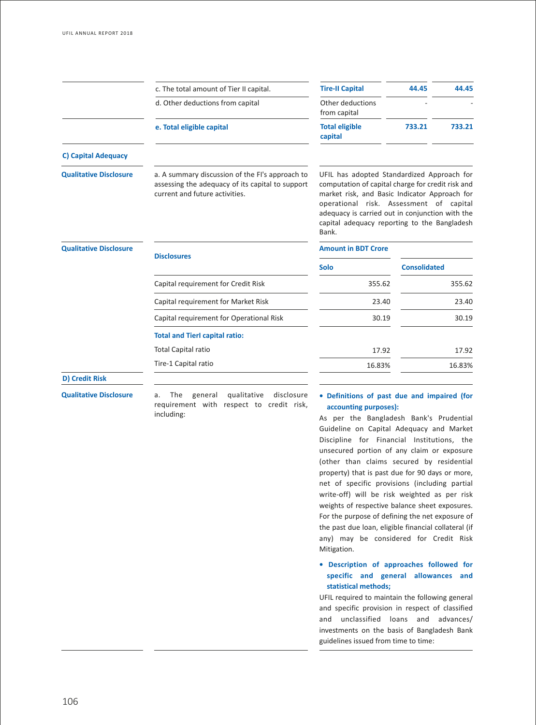|                               | c. The total amount of Tier II capital.                                                                                               | <b>Tire-II Capital</b>                                                                                                                                                                                                                                                                                  | 44.45               | 44.45  |
|-------------------------------|---------------------------------------------------------------------------------------------------------------------------------------|---------------------------------------------------------------------------------------------------------------------------------------------------------------------------------------------------------------------------------------------------------------------------------------------------------|---------------------|--------|
|                               | d. Other deductions from capital                                                                                                      | Other deductions<br>from capital                                                                                                                                                                                                                                                                        |                     |        |
|                               | e. Total eligible capital                                                                                                             | <b>Total eligible</b><br>capital                                                                                                                                                                                                                                                                        | 733.21              | 733.21 |
| <b>C) Capital Adequacy</b>    |                                                                                                                                       |                                                                                                                                                                                                                                                                                                         |                     |        |
| <b>Qualitative Disclosure</b> | a. A summary discussion of the FI's approach to<br>assessing the adequacy of its capital to support<br>current and future activities. | UFIL has adopted Standardized Approach for<br>computation of capital charge for credit risk and<br>market risk, and Basic Indicator Approach for<br>operational risk. Assessment of capital<br>adequacy is carried out in conjunction with the<br>capital adequacy reporting to the Bangladesh<br>Bank. |                     |        |
| <b>Qualitative Disclosure</b> | <b>Disclosures</b>                                                                                                                    | <b>Amount in BDT Crore</b>                                                                                                                                                                                                                                                                              |                     |        |
|                               |                                                                                                                                       | <b>Solo</b>                                                                                                                                                                                                                                                                                             | <b>Consolidated</b> |        |
|                               | Capital requirement for Credit Risk                                                                                                   | 355.62                                                                                                                                                                                                                                                                                                  |                     | 355.62 |
|                               | Capital requirement for Market Risk                                                                                                   | 23.40                                                                                                                                                                                                                                                                                                   |                     | 23.40  |
|                               | Capital requirement for Operational Risk                                                                                              | 30.19                                                                                                                                                                                                                                                                                                   |                     | 30.19  |
|                               | <b>Total and Tierl capital ratio:</b>                                                                                                 |                                                                                                                                                                                                                                                                                                         |                     |        |
|                               | <b>Total Capital ratio</b>                                                                                                            | 17.92                                                                                                                                                                                                                                                                                                   |                     | 17.92  |
|                               | Tire-1 Capital ratio                                                                                                                  | 16.83%                                                                                                                                                                                                                                                                                                  |                     | 16.83% |
| <b>D) Credit Risk</b>         |                                                                                                                                       |                                                                                                                                                                                                                                                                                                         |                     |        |

**Qualitative Disclosure** a. The general qualitative disclosure requirement with respect to credit risk, including:

# **• Definitions of past due and impaired (for accounting purposes):**

As per the Bangladesh Bank's Prudential Guideline on Capital Adequacy and Market Discipline for Financial Institutions, the unsecured portion of any claim or exposure (other than claims secured by residential property) that is past due for 90 days or more, net of specific provisions (including partial write-off) will be risk weighted as per risk weights of respective balance sheet exposures. For the purpose of defining the net exposure of the past due loan, eligible financial collateral (if any) may be considered for Credit Risk Mitigation.

# **• Description of approaches followed for specific and general allowances and statistical methods;**

UFIL required to maintain the following general and specific provision in respect of classified and unclassified loans and advances/ investments on the basis of Bangladesh Bank guidelines issued from time to time: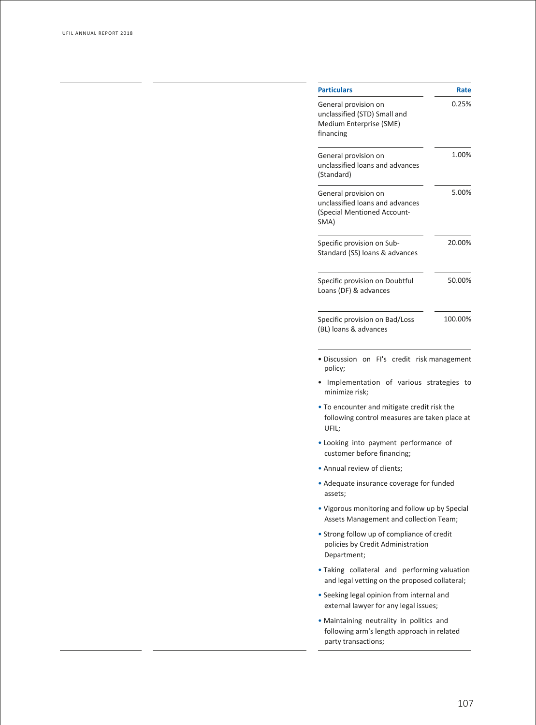| <b>Particulars</b>                                                                                                      | Rate    |
|-------------------------------------------------------------------------------------------------------------------------|---------|
| General provision on<br>unclassified (STD) Small and<br>Medium Enterprise (SME)<br>financing                            | 0.25%   |
| General provision on<br>unclassified loans and advances<br>(Standard)                                                   | 1.00%   |
| General provision on<br>unclassified loans and advances<br>(Special Mentioned Account-<br>SMA)                          | 5.00%   |
| Specific provision on Sub-<br>Standard (SS) loans & advances                                                            | 20.00%  |
| Specific provision on Doubtful<br>Loans (DF) & advances                                                                 | 50.00%  |
| Specific provision on Bad/Loss<br>(BL) loans & advances                                                                 | 100.00% |
| · Discussion on FI's credit risk management<br>policy;<br>Implementation of various strategies                          | to      |
| minimize risk;<br>• To encounter and mitigate credit risk the<br>following control measures are taken place at<br>UFIL; |         |
| . Looking into payment performance of<br>customer before financing;                                                     |         |
| . Annual review of clients;                                                                                             |         |
| • Adequate insurance coverage for funded<br>assets:                                                                     |         |
| . Vigorous monitoring and follow up by Special<br>Assets Management and collection Team;                                |         |
| • Strong follow up of compliance of credit<br>policies by Credit Administration<br>Department;                          |         |
| . Taking collateral and performing valuation<br>and legal vetting on the proposed collateral;                           |         |
| · Seeking legal opinion from internal and<br>external lawyer for any legal issues;                                      |         |
| . Maintaining neutrality in politics and<br>following arm's length approach in related<br>party transactions;           |         |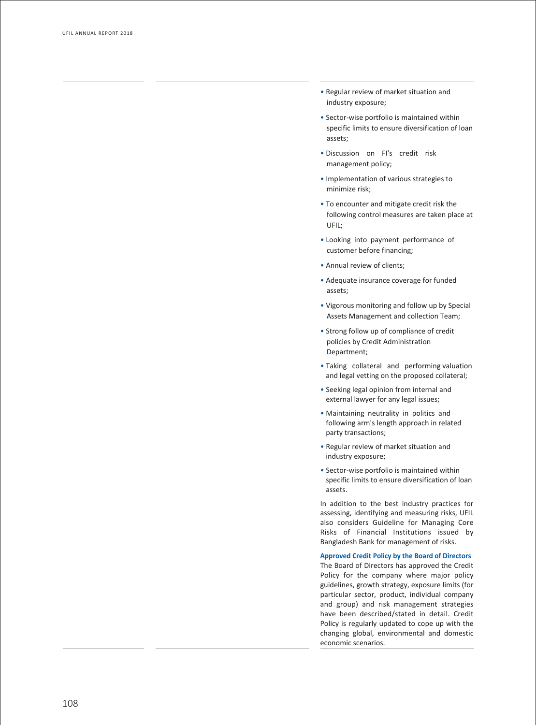- Regular review of market situation and industry exposure;
- Sector-wise portfolio is maintained within specific limits to ensure diversification of loan assets;
- Discussion on FI's credit risk management policy;
- Implementation of various strategies to minimize risk;
- To encounter and mitigate credit risk the following control measures are taken place at UFIL;
- Looking into payment performance of customer before financing;
- Annual review of clients;
- Adequate insurance coverage for funded assets;
- Vigorous monitoring and follow up by Special Assets Management and collection Team;
- Strong follow up of compliance of credit policies by Credit Administration Department;
- Taking collateral and performing valuation and legal vetting on the proposed collateral;
- Seeking legal opinion from internal and external lawyer for any legal issues;
- Maintaining neutrality in politics and following arm's length approach in related party transactions;
- Regular review of market situation and industry exposure;
- Sector-wise portfolio is maintained within specific limits to ensure diversification of loan assets.

In addition to the best industry practices for assessing, identifying and measuring risks, UFIL also considers Guideline for Managing Core Risks of Financial Institutions issued by Bangladesh Bank for management of risks.

**Approved Credit Policy by the Board of Directors** The Board of Directors has approved the Credit Policy for the company where major policy guidelines, growth strategy, exposure limits (for particular sector, product, individual company and group) and risk management strategies have been described/stated in detail. Credit Policy is regularly updated to cope up with the changing global, environmental and domestic economic scenarios.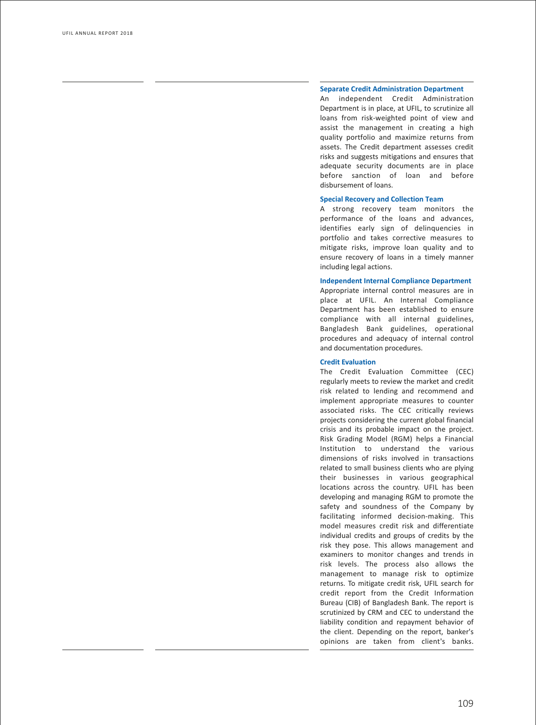# **Separate Credit Administration Department**

An independent Credit Administration Department is in place, at UFIL, to scrutinize all loans from risk-weighted point of view and assist the management in creating a high quality portfolio and maximize returns from assets. The Credit department assesses credit risks and suggests mitigations and ensures that adequate security documents are in place before sanction of loan and before disbursement of loans.

## **Special Recovery and Collection Team**

A strong recovery team monitors the performance of the loans and advances, identifies early sign of delinquencies in portfolio and takes corrective measures to mitig a te risks, impr o ve loan quality and to ensure rec o very of loans in a timely manner including legal actions.

#### **Independent Internal Compliance Department**

Appropria te in ternal control measures are in place at UFIL. An In ternal Compliance Department has been es tablished to ensure compliance with all in ternal guidelines, Bangladesh Bank guidelines, oper ational procedures and adequacy of in ternal control and documentation procedures.

#### **Credit E valuation**

The Credit E valuation Commit tee (CEC) regularly meets to r eview the mark et and credit risk rela ted to lending and recommend and implement appropriate measures to counter associa ted risks. The CEC critically r evie ws projects considering the current global financial crisis and its probable impact on the project. Risk Grading Model (RGM) helps a Financial Institution to understand the various dimensions of risks in volved in transactions rela ted to small business clients who are plying their businesses in various geographical locations across the country. UFIL has been de veloping and managing RGM to promote the sa f ety and soundness of the Company by facilit ating in formed decision-making. This model measures credit risk and dif ferentia te individual credits and groups of credits by the risk they pose. This allo ws management and e xaminers to monitor changes and trends in risk le vels. The process also allo ws the management to manage risk to optimize returns. To mitigate credit risk, UFIL search for credit report from the Credit In formation Bureau (CIB) of Bangladesh Bank. The report is scrutinized by CRM and CEC to understand the liability condition and repayment behavior of the client. Depending on the report, banker's opinions are taken from client's banks.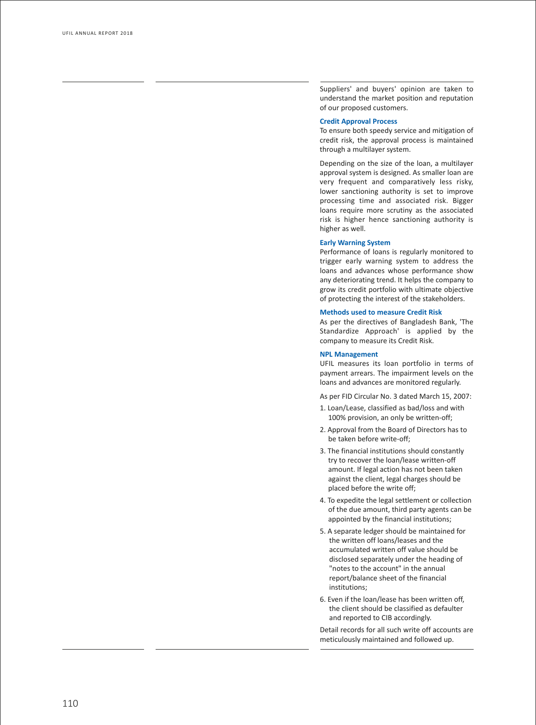Suppliers' and buyers' opinion are taken to under s tand the mark et position and reput ation of our proposed cus tomers.

### **Credit Approval Process**

To ensure both speedy service and mitig ation of credit risk, the approval process is maintained through a multilayer system.

Depending on the size of the loan, a multila yer appr o val s y s tem is designed. As smaller loan are very frequent and comparatively less risky, lower sanctioning authority is set to improve processing time and associated risk. Bigger loans require more scrutiny as the associated risk is higher hence sanctioning authority is higher as well.

# **Early Warning System**

Performance of loans is regularly monitored to trigger early warning system to address the loans and advances whose performance show any deteriorating trend. It helps the company to gr ow its credit portfolio with ultima te objective of protecting the interest of the stakeholders.

# **Methods used to measure Credit Risk**

As per the directives of Bangladesh Bank, 'The Standardize Approach' is applied by the company to measure its Credit Risk.

#### **NPL Managemen t**

UFIL measures its loan portfolio in terms of payment arrears. The impairment levels on the loans and advances are monitored regularly .

As per FID Circular No. 3 da ted March 15, 2007:

- 1. Loan/Lease, classified as bad/loss and with 100% provision, an only be written-off;
- 2. Approval from the Board of Directors has to be taken be fore write-off;
- 3. The financial institutions should cons tantly try to recover the loan/lease written-off amount. If legal action has not been taken against the client, legal char ges should be placed be fore the write off;
- 4. To expedite the legal se ttlement or collection of the due amount, third party agents can be appoin ted by the financial institutions;
- 5. A separ a te ledger should be main tained for the writ ten off loans/leases and the accumula ted writ ten off value should be disclosed separately under the heading of "notes to the account" in the annual report/balance sheet of the financial institutions;
- 6. E ven if the loan/lease has been writ ten off, the client should be classified as de faulter and reported to CIB accordingly .

De tail records for all such write off accounts are meticulously main tained and follo wed up.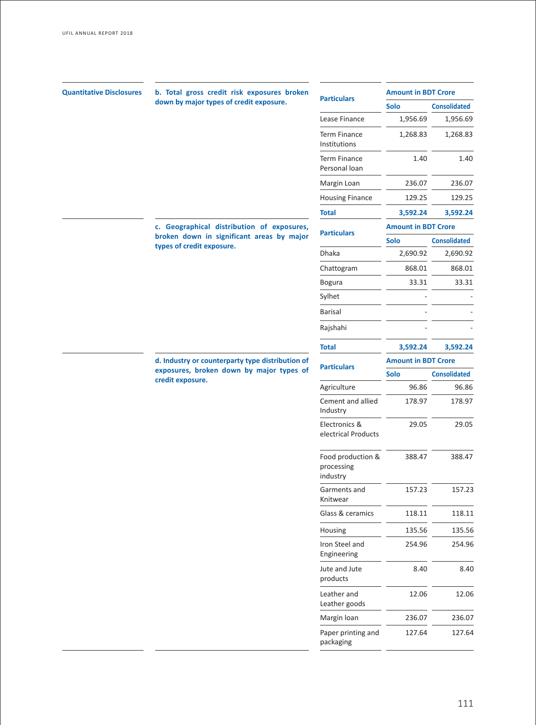| <b>Quantitative Disclosures</b> | b. Total gross credit risk exposures broken                            | <b>Particulars</b>                                                           | <b>Amount in BDT Crore</b>                         |                     |
|---------------------------------|------------------------------------------------------------------------|------------------------------------------------------------------------------|----------------------------------------------------|---------------------|
|                                 | down by major types of credit exposure.                                |                                                                              | <b>Solo</b>                                        | <b>Consolidated</b> |
|                                 |                                                                        | Lease Finance                                                                | 1,956.69                                           | 1,956.69            |
|                                 |                                                                        | <b>Term Finance</b><br>Institutions                                          | 1,268.83                                           | 1,268.83            |
|                                 |                                                                        | <b>Term Finance</b><br>Personal loan                                         | 1.40                                               | 1.40                |
|                                 |                                                                        | Margin Loan                                                                  | 236.07                                             | 236.07              |
|                                 |                                                                        | <b>Housing Finance</b>                                                       | 129.25                                             | 129.25              |
|                                 |                                                                        | <b>Total</b>                                                                 | 3,592.24                                           | 3,592.24            |
|                                 | c. Geographical distribution of exposures,                             | <b>Particulars</b>                                                           | <b>Amount in BDT Crore</b>                         |                     |
|                                 | broken down in significant areas by major<br>types of credit exposure. |                                                                              | <b>Solo</b>                                        | <b>Consolidated</b> |
|                                 |                                                                        | Dhaka                                                                        | 2,690.92                                           | 2,690.92            |
|                                 |                                                                        | Chattogram                                                                   | 868.01                                             | 868.01              |
|                                 |                                                                        | <b>Bogura</b>                                                                | 33.31                                              | 33.31               |
|                                 |                                                                        | Sylhet<br><b>Barisal</b><br>Rajshahi<br><b>Total</b><br>3,592.24             |                                                    |                     |
|                                 |                                                                        |                                                                              |                                                    |                     |
|                                 |                                                                        |                                                                              | <b>Amount in BDT Crore</b><br><b>Solo</b><br>96.86 |                     |
|                                 |                                                                        |                                                                              |                                                    | 3,592.24            |
|                                 | d. Industry or counterparty type distribution of                       |                                                                              |                                                    |                     |
|                                 | exposures, broken down by major types of<br>credit exposure.           | <b>Particulars</b><br>Agriculture<br>Cement and allied<br>178.97<br>Industry |                                                    | <b>Consolidated</b> |
|                                 |                                                                        |                                                                              | 96.86                                              |                     |
|                                 |                                                                        |                                                                              | 178.97                                             |                     |
|                                 |                                                                        | Electronics &<br>electrical Products                                         | 29.05                                              | 29.05               |
|                                 |                                                                        | Food production &<br>processing<br>industry                                  | 388.47                                             | 388.47              |
|                                 |                                                                        | Garments and<br>Knitwear                                                     | 157.23                                             | 157.23              |
|                                 |                                                                        | Glass & ceramics                                                             | 118.11                                             | 118.11              |
|                                 |                                                                        | Housing                                                                      | 135.56                                             | 135.56              |
|                                 |                                                                        | Iron Steel and<br>Engineering                                                | 254.96                                             | 254.96              |
|                                 |                                                                        | Jute and Jute<br>products                                                    | 8.40                                               | 8.40                |
|                                 |                                                                        | Leather and<br>Leather goods                                                 | 12.06                                              | 12.06               |
|                                 |                                                                        | Margin Ioan                                                                  | 236.07                                             | 236.07              |
|                                 |                                                                        | Paper printing and<br>packaging                                              | 127.64                                             | 127.64              |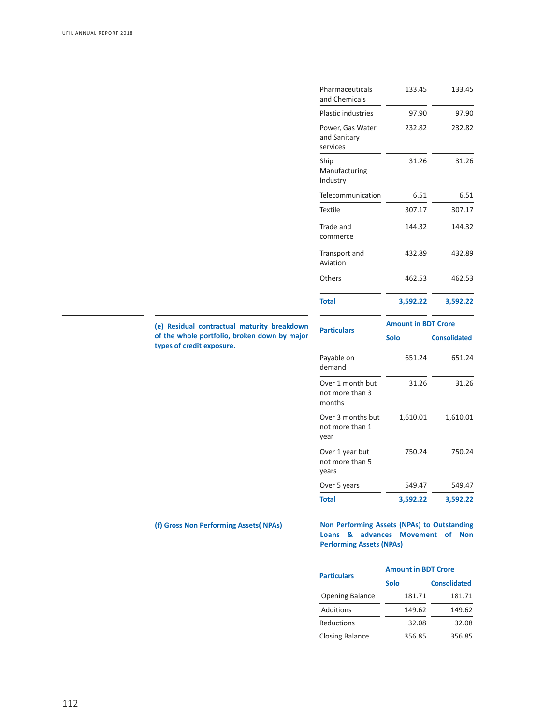|                                                                           | Pharmaceuticals<br>and Chemicals              | 133.45                     | 133.45              |
|---------------------------------------------------------------------------|-----------------------------------------------|----------------------------|---------------------|
|                                                                           | <b>Plastic industries</b>                     | 97.90                      | 97.90               |
|                                                                           | Power, Gas Water<br>and Sanitary<br>services  | 232.82                     | 232.82              |
|                                                                           | Ship<br>Manufacturing<br>Industry             | 31.26                      | 31.26               |
|                                                                           | Telecommunication                             | 6.51                       | 6.51                |
|                                                                           | Textile                                       | 307.17                     | 307.17              |
|                                                                           | Trade and<br>commerce                         | 144.32                     | 144.32              |
|                                                                           | Transport and<br>Aviation                     | 432.89                     | 432.89              |
|                                                                           | Others                                        | 462.53                     | 462.53              |
|                                                                           | <b>Total</b>                                  | 3,592.22                   | 3,592.22            |
| (e) Residual contractual maturity breakdown                               |                                               | <b>Amount in BDT Crore</b> |                     |
| of the whole portfolio, broken down by major<br>types of credit exposure. | <b>Particulars</b>                            | <b>Solo</b>                | <b>Consolidated</b> |
|                                                                           | Payable on<br>demand                          | 651.24                     | 651.24              |
|                                                                           | Over 1 month but<br>not more than 3<br>months | 31.26                      | 31.26               |
|                                                                           | Over 3 months but<br>not more than 1<br>year  | 1,610.01                   | 1,610.01            |
|                                                                           | Over 1 year but<br>not more than 5<br>years   | 750.24                     | 750.24              |
|                                                                           | Over 5 years                                  | 549.47                     | 549.47              |
|                                                                           | <b>Total</b>                                  | 3,592.22                   | 3,592.22            |

**(f) Gross Non Performing Assets( NPAs) Non Performing Assets (NPAs) to Outstanding Loans & advances Movement of Non Performing Assets (NPAs)**

| <b>Particulars</b>     | <b>Amount in BDT Crore</b> |        |                     |  |
|------------------------|----------------------------|--------|---------------------|--|
|                        | <b>Solo</b>                |        | <b>Consolidated</b> |  |
| <b>Opening Balance</b> |                            | 181.71 | 181.71              |  |
| Additions              |                            | 149.62 | 149.62              |  |
| Reductions             |                            | 32.08  | 32.08               |  |
| <b>Closing Balance</b> |                            | 356.85 | 356.85              |  |
|                        |                            |        |                     |  |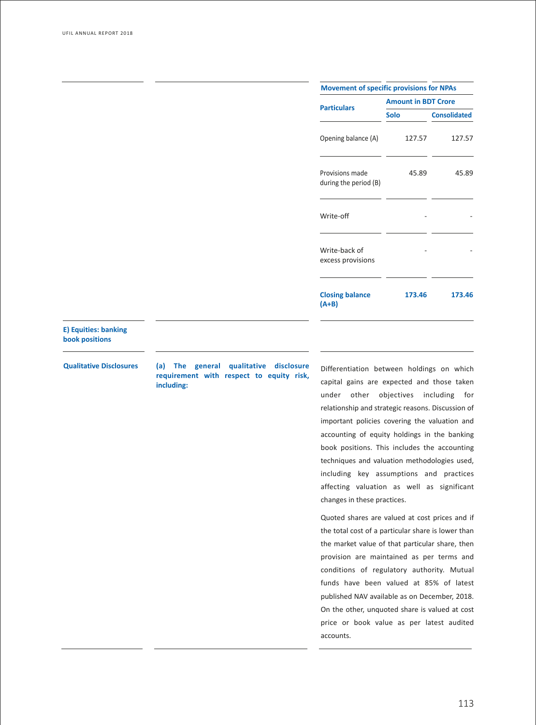| <b>Movement of specific provisions for NPAs</b> |                            |                     |  |  |
|-------------------------------------------------|----------------------------|---------------------|--|--|
| <b>Particulars</b>                              | <b>Amount in BDT Crore</b> |                     |  |  |
|                                                 | Solo                       | <b>Consolidated</b> |  |  |
| Opening balance (A)                             | 127.57                     | 127.57              |  |  |
| Provisions made<br>during the period (B)        | 45.89                      | 45.89               |  |  |
| Write-off                                       |                            |                     |  |  |
| Write-back of<br>excess provisions              |                            |                     |  |  |
| <b>Closing balance</b><br>(A+B)                 | 173.46                     | 173.46              |  |  |

# **E) Equities: banking book positions**

**Qualitative Disclosures (a) The general qualitative disclosure requirement with respect to equity risk, including:**

Differentiation between holdings on which capital gains are expected and those taken under other objectives including for relationship and strategic reasons. Discussion of important policies covering the valuation and accounting of equity holdings in the banking book positions. This includes the accounting techniques and valuation methodologies used, including key assumptions and practices affecting valuation as well as significant changes in these practices.

Quoted shares are valued at cost prices and if the total cost of a particular share is lower than the market value of that particular share, then provision are maintained as per terms and conditions of regulatory authority. Mutual funds have been valued at 85% of latest published NAV available as on December, 2018. On the other, unquoted share is valued at cost price or book value as per latest audited accounts.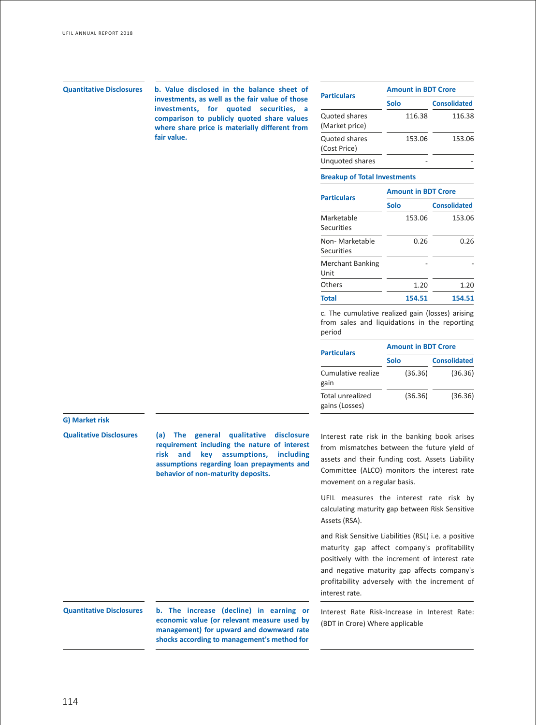**b. Value disclosed in the balance sheet of Quantitative Disclosures Particulars investments, as well as the fair value of those investments, for quoted securities, a comparison to publicly quoted share values where share price is materially different from fair value.**

| <b>Particulars</b>              | <b>Amount in BDT Crore</b> |                     |  |  |
|---------------------------------|----------------------------|---------------------|--|--|
|                                 | Solo                       | <b>Consolidated</b> |  |  |
| Quoted shares<br>(Market price) | 116.38                     | 116.38              |  |  |
| Quoted shares<br>(Cost Price)   | 153.06                     | 153.06              |  |  |
| Unquoted shares                 |                            |                     |  |  |

# **Breakup of Total Investments**

| <b>Particulars</b>              | <b>Amount in BDT Crore</b> |                     |  |  |
|---------------------------------|----------------------------|---------------------|--|--|
|                                 | Solo                       | <b>Consolidated</b> |  |  |
| Marketable<br><b>Securities</b> | 153.06                     | 153.06              |  |  |
| Non- Marketable<br>Securities   | 0.26                       | 0.26                |  |  |
| <b>Merchant Banking</b><br>Unit |                            |                     |  |  |
| Others                          | 1.20                       | 1.20                |  |  |
| Total                           | 154.51                     | 154.51              |  |  |

c. The cumulative realized gain (losses) arising from sales and liquidations in the reporting period

| <b>Amount in BDT Crore</b> |  |                     |  |
|----------------------------|--|---------------------|--|
| Solo                       |  | <b>Consolidated</b> |  |
|                            |  | (36.36)             |  |
|                            |  | (36.36)             |  |
|                            |  | (36.36)<br>(36.36)  |  |

## **G) Market risk**

**Qualitative Disclosures (a) The general qualitative disclosure requirement including the nature of interest risk and key assumptions, including assumptions regarding loan prepayments and behavior of non-maturity deposits.**

Interest rate risk in the banking book arises from mismatches between the future yield of assets and their funding cost. Assets Liability Committee (ALCO) monitors the interest rate movement on a regular basis.

UFIL measures the interest rate risk by calculating maturity gap between Risk Sensitive Assets (RSA).

and Risk Sensitive Liabilities (RSL) i.e. a positive maturity gap affect company's profitability positively with the increment of interest rate and negative maturity gap affects company's profitability adversely with the increment of interest rate.

# Interest Rate Risk-Increase in Interest Rate: (BDT in Crore) Where applicable

**Quantitative Disclosures b. The increase (decline) in earning or economic value (or relevant measure used by management) for upward and downward rate shocks according to management's method for**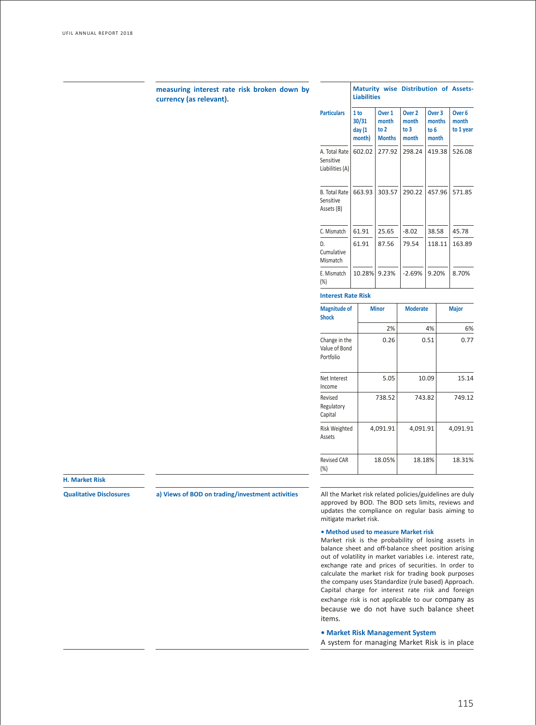# **measuring interest rate risk broken down by currency (as relevant).**

|                                                 | <b>Liabilities</b>                           |                                                     |                                             | <b>Maturity wise Distribution of Assets-</b> |                                         |  |
|-------------------------------------------------|----------------------------------------------|-----------------------------------------------------|---------------------------------------------|----------------------------------------------|-----------------------------------------|--|
| <b>Particulars</b>                              | 1 <sub>to</sub><br>30/31<br>day (1<br>month) | Over <sub>1</sub><br>month<br>to 2<br><b>Months</b> | Over <sub>2</sub><br>month<br>to 3<br>month | Over <sub>3</sub><br>months<br>to 6<br>month | Over <sub>6</sub><br>month<br>to 1 year |  |
| A. Total Rate<br>Sensitive<br>Liabilities (A)   | 602.02                                       | 277.92                                              | 298.24                                      | 419.38                                       | 526.08                                  |  |
| <b>B.</b> Total Rate<br>Sensitive<br>Assets (B) | 663.93                                       | 303.57                                              | 290.22                                      | 457.96                                       | 571.85                                  |  |
| C. Mismatch<br>D.<br>Cumulative<br>Mismatch     | 61.91<br>61.91                               | 25.65<br>87.56                                      | $-8.02$<br>79.54                            | 38.58<br>118.11                              | 45.78<br>163.89                         |  |
| E. Mismatch<br>(%)                              | 10.28%                                       | 9.23%                                               | $-2.69%$                                    | 9.20%                                        | 8.70%                                   |  |
| <b>Interest Rate Risk</b>                       |                                              |                                                     |                                             |                                              |                                         |  |

## **Magnitude of Shock** Change in the Value of Bond Portfolio **Minor Moderate Major** 2% 4% 6%  $0.26$   $0.51$   $0.77$ Net Interest Income 5.05 10.09 15.14 Revised Regulatory Capital 738.52 743.82 749.12 Risk Weighted Assets 4,091.91 4,091.91 4,091.91 Revised CAR (%) 18.05% 18.18% 18.31%

# **H. Market Risk**

**Qualitative Disclosures a) Views of BOD on trading/investment activities** All the Market risk related policies/guidelines are duly approved by BOD. The BOD sets limits, reviews and updates the compliance on regular basis aiming to mitigate market risk.

# **• Method used to measure Market risk**

Market risk is the probability of losing assets in balance sheet and off-balance sheet position arising out of volatility in market variables i.e. interest rate, exchange rate and prices of securities. In order to calculate the market risk for trading book purposes the company uses Standardize (rule based) Approach. Capital charge for interest rate risk and foreign exchange risk is not applicable to our company as because we do not have such balance sheet items.

# **• Market Risk Management System**

A system for managing Market Risk is in place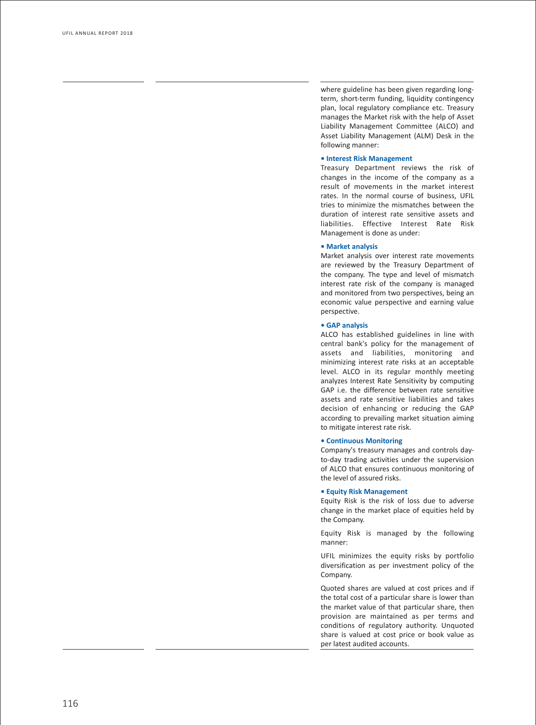where guideline has been given regarding long term, short-term funding, liquidity contingency plan, local regulatory compliance etc. Treasury manages the Mark et risk with the help of Asset Liability Management Commit tee (AL CO) and Asset Liability Management (ALM) Desk in the following manner:

# **• Interest Risk Management**

Treasury Department reviews the risk of changes in the income of the company as a result of movements in the market interest rates. In the normal course of business, UFIL tries to minimize the misma tches between the duration of interest rate sensitive assets and liabilities. Effective Interest Rate Risk Management is done as under:

## **• Market analysis**

Market analysis over interest rate movements are r evie wed by the T reasury Department of the company. The type and level of mismatch interest rate risk of the company is managed and monitored from two perspectives, being an economic value perspective and earning value perspective.

# **• GAP analysis**

AL CO has es tablished guidelines in line with central bank's policy for the management of assets and liabilities, monitoring and minimizing interest rate risks at an acceptable le vel. AL CO in its regular monthly meeting analy zes In terest Ra te Sensitivity by computing GAP i.e. the difference between rate sensitive assets and rate sensitive liabilities and takes decision of enhancing or reducing the GAP according to prevailing market situation aiming to mitigate interest rate risk.

# **• Continuous Monitoring**

Company's treasury manages and controls da y to-day trading activities under the supervision of AL CO that ensures continuous monitoring of the le vel of assured risks.

#### **• Equity Risk Managemen t**

Equity Risk is the risk of loss due to adverse change in the mark et place of equities held by the Compan y .

Equity Risk is managed by the following manner:

UFIL minimizes the equity risks by portfolio diversific ation as per in vestment policy of the Company.

Quoted shares are valued at cost prices and if the total cost of a particular share is lo wer than the mark et value of that particular share, then pr ovision are main tained as per terms and conditions of regula tory authority. Unquoted share is valued at cost price or book value as per la test audited accounts.